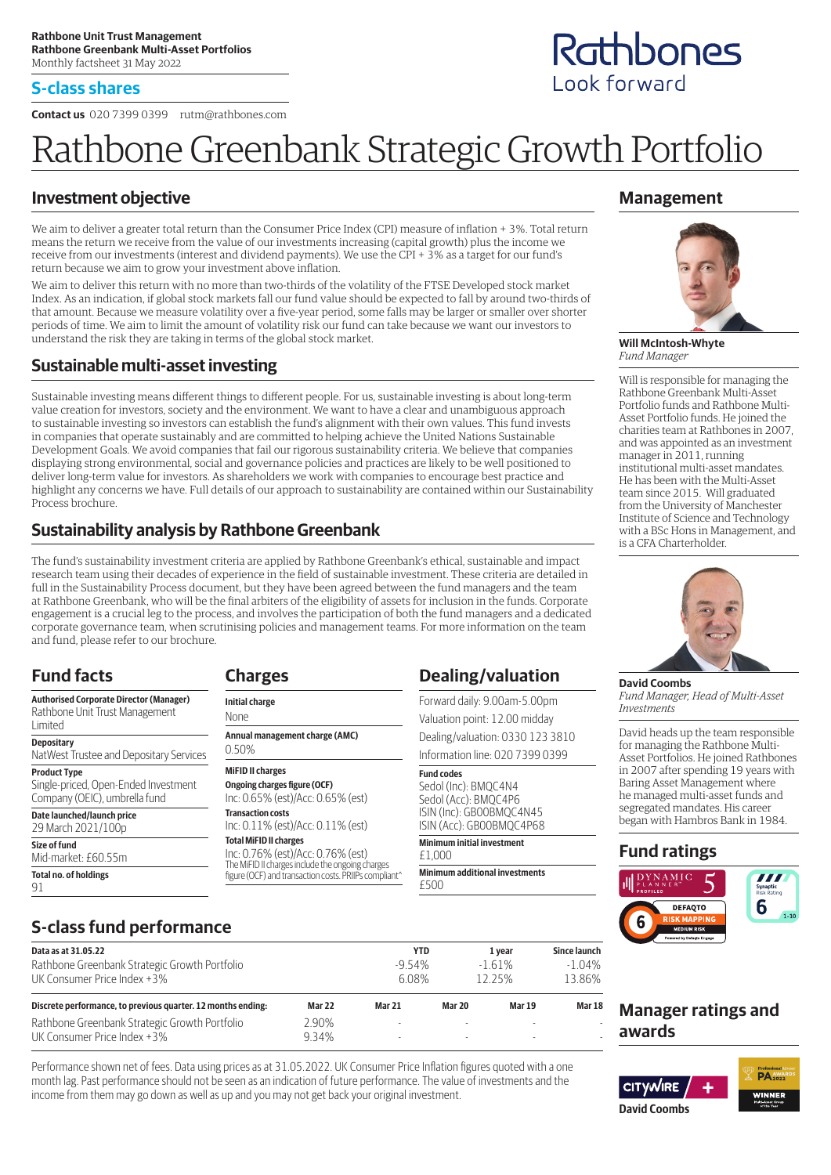#### **S-class shares**

**Contact us** 020 7399 0399 rutm@rathbones.com

# Rathbone Greenbank Strategic Growth Portfolio

### **Investment objective**

We aim to deliver a greater total return than the Consumer Price Index (CPI) measure of inflation + 3%. Total return means the return we receive from the value of our investments increasing (capital growth) plus the income we receive from our investments (interest and dividend payments). We use the CPI + 3% as a target for our fund's return because we aim to grow your investment above inflation.

We aim to deliver this return with no more than two-thirds of the volatility of the FTSE Developed stock market Index. As an indication, if global stock markets fall our fund value should be expected to fall by around two-thirds of that amount. Because we measure volatility over a five-year period, some falls may be larger or smaller over shorter periods of time. We aim to limit the amount of volatility risk our fund can take because we want our investors to understand the risk they are taking in terms of the global stock market.

#### **Sustainable multi-asset investing**

Sustainable investing means different things to different people. For us, sustainable investing is about long-term value creation for investors, society and the environment. We want to have a clear and unambiguous approach to sustainable investing so investors can establish the fund's alignment with their own values. This fund invests in companies that operate sustainably and are committed to helping achieve the United Nations Sustainable Development Goals. We avoid companies that fail our rigorous sustainability criteria. We believe that companies displaying strong environmental, social and governance policies and practices are likely to be well positioned to deliver long-term value for investors. As shareholders we work with companies to encourage best practice and highlight any concerns we have. Full details of our approach to sustainability are contained within our Sustainability Process brochure.

## **Sustainability analysis by Rathbone Greenbank**

The fund's sustainability investment criteria are applied by Rathbone Greenbank's ethical, sustainable and impact research team using their decades of experience in the field of sustainable investment. These criteria are detailed in full in the Sustainability Process document, but they have been agreed between the fund managers and the team at Rathbone Greenbank, who will be the final arbiters of the eligibility of assets for inclusion in the funds. Corporate engagement is a crucial leg to the process, and involves the participation of both the fund managers and a dedicated corporate governance team, when scrutinising policies and management teams. For more information on the team and fund, please refer to our brochure.

# **Fund facts**

Mid-market: £60.55m **Total no. of holdings**

91

| <b>Authorised Corporate Director (Manager)</b><br>Rathbone Unit Trust Management<br>Limited  |
|----------------------------------------------------------------------------------------------|
| <b>Depositary</b><br>NatWest Trustee and Depositary Services                                 |
| <b>Product Type</b><br>Single-priced, Open-Ended Investment<br>Company (OEIC), umbrella fund |
| Date launched/launch price<br>29 March 2021/100p                                             |
| Size of fund                                                                                 |

| U.JU /U                                               |
|-------------------------------------------------------|
| <b>MiFID II charges</b>                               |
| Ongoing charges figure (OCF)                          |
| Inc: 0.65% (est)/Acc: 0.65% (est)                     |
| <b>Transaction costs</b>                              |
| Inc: 0.11% (est)/Acc: 0.11% (est)                     |
| <b>Total MiFID II charges</b>                         |
| Inc: 0.76% (est)/Acc: 0.76% (est)                     |
| The MiFID II charges include the ongoing charges      |
| figure (OCF) and transaction costs. PRIIPs compliant^ |

**Annual management charge (AMC)**

**Charges Initial charge** None

 $0.50%$ 

## **Dealing/valuation**

Forward daily: 9.00am-5.00pm Valuation point: 12.00 midday

Dealing/valuation: 0330 123 3810 Information line: 020 7399 0399

#### **Fund codes**

Sedol (Inc): BMQC4N4 Sedol (Acc): BMQC4P6 ISIN (Inc): GB00BMQC4N45 ISIN (Acc): GB00BMQC4P68

**Minimum initial investment** £1,000

**Minimum additional investments** £500

# **Management**



**Will McIntosh-Whyte** *Fund Manager*

Will is responsible for managing the Rathbone Greenbank Multi-Asset Portfolio funds and Rathbone Multi-Asset Portfolio funds. He joined the charities team at Rathbones in 2007, and was appointed as an investment manager in 2011, running institutional multi-asset mandates. He has been with the Multi-Asset team since 2015. Will graduated from the University of Manchester Institute of Science and Technology with a BSc Hons in Management, and is a CFA Charterholder.



**David Coombs** *Fund Manager, Head of Multi-Asset Investments*

David heads up the team responsible for managing the Rathbone Multi-Asset Portfolios. He joined Rathbones in 2007 after spending 19 years with Baring Asset Management where he managed multi-asset funds and segregated mandates. His career began with Hambros Bank in 1984.

#### **Fund ratings**



# **S-class fund performance**

| Data as at 31.05.22                                          |               | <b>YTD</b>    |         | 1 year        | Since launch  |
|--------------------------------------------------------------|---------------|---------------|---------|---------------|---------------|
| Rathbone Greenbank Strategic Growth Portfolio                | $-954%$       |               | $-161%$ | $-1.04%$      |               |
| UK Consumer Price Index +3%                                  |               | 6.08%         |         | 1225%         | 13.86%        |
| Discrete performance, to previous quarter. 12 months ending: | <b>Mar 22</b> | <b>Mar 21</b> | Mar 20  | <b>Mar 19</b> | <b>Mar 18</b> |
| Rathbone Greenbank Strategic Growth Portfolio                | 2.90%         |               |         |               |               |
| UK Consumer Price Index +3%                                  | 9.34%         |               |         |               |               |

Performance shown net of fees. Data using prices as at 31.05.2022. UK Consumer Price Inflation figures quoted with a one month lag. Past performance should not be seen as an indication of future performance. The value of investments and the income from them may go down as well as up and you may not get back your original investment.